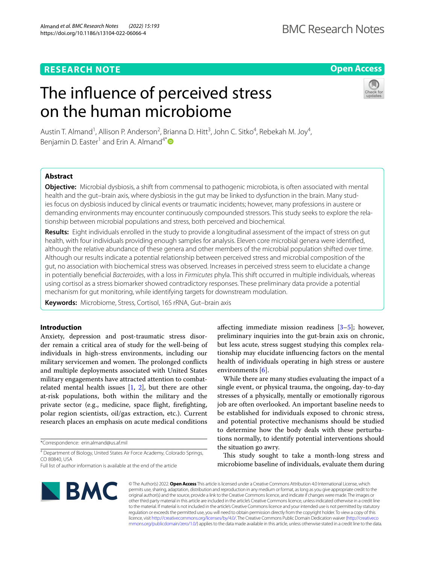# **Open Access**

# The infuence of perceived stress on the human microbiome



Austin T. Almand<sup>1</sup>, Allison P. Anderson<sup>2</sup>, Brianna D. Hitt<sup>3</sup>, John C. Sitko<sup>4</sup>, Rebekah M. Joy<sup>4</sup>, Benjamin D. Easter<sup>1</sup> and Erin A. Almand<sup>4\*</sup>

# **Abstract**

**Objective:** Microbial dysbiosis, a shift from commensal to pathogenic microbiota, is often associated with mental health and the gut–brain axis, where dysbiosis in the gut may be linked to dysfunction in the brain. Many studies focus on dysbiosis induced by clinical events or traumatic incidents; however, many professions in austere or demanding environments may encounter continuously compounded stressors. This study seeks to explore the relationship between microbial populations and stress, both perceived and biochemical.

**Results:** Eight individuals enrolled in the study to provide a longitudinal assessment of the impact of stress on gut health, with four individuals providing enough samples for analysis. Eleven core microbial genera were identifed, although the relative abundance of these genera and other members of the microbial population shifted over time. Although our results indicate a potential relationship between perceived stress and microbial composition of the gut, no association with biochemical stress was observed. Increases in perceived stress seem to elucidate a change in potentially benefcial *Bacteroides*, with a loss in *Firmicutes* phyla. This shift occurred in multiple individuals, whereas using cortisol as a stress biomarker showed contradictory responses. These preliminary data provide a potential mechanism for gut monitoring, while identifying targets for downstream modulation.

**Keywords:** Microbiome, Stress, Cortisol, 16S rRNA, Gut–brain axis

## **Introduction**

Anxiety, depression and post-traumatic stress disorder remain a critical area of study for the well-being of individuals in high-stress environments, including our military servicemen and women. The prolonged conflicts and multiple deployments associated with United States military engagements have attracted attention to combatrelated mental health issues  $[1, 2]$  $[1, 2]$  $[1, 2]$  $[1, 2]$ , but there are other at-risk populations, both within the military and the private sector (e.g., medicine, space fight, frefghting, polar region scientists, oil/gas extraction, etc.). Current research places an emphasis on acute medical conditions

\*Correspondence: erin.almand@us.af.mil

4 Department of Biology, United States Air Force Academy, Colorado Springs, CO 80840, USA

afecting immediate mission readiness [\[3](#page-5-2)–[5\]](#page-5-3); however, preliminary inquiries into the gut-brain axis on chronic, but less acute, stress suggest studying this complex relationship may elucidate infuencing factors on the mental health of individuals operating in high stress or austere environments  $[6]$  $[6]$ .

While there are many studies evaluating the impact of a single event, or physical trauma, the ongoing, day-to-day stresses of a physically, mentally or emotionally rigorous job are often overlooked. An important baseline needs to be established for individuals exposed to chronic stress, and potential protective mechanisms should be studied to determine how the body deals with these perturbations normally, to identify potential interventions should the situation go awry.

This study sought to take a month-long stress and microbiome baseline of individuals, evaluate them during



© The Author(s) 2022. **Open Access** This article is licensed under a Creative Commons Attribution 4.0 International License, which permits use, sharing, adaptation, distribution and reproduction in any medium or format, as long as you give appropriate credit to the original author(s) and the source, provide a link to the Creative Commons licence, and indicate if changes were made. The images or other third party material in this article are included in the article's Creative Commons licence, unless indicated otherwise in a credit line to the material. If material is not included in the article's Creative Commons licence and your intended use is not permitted by statutory regulation or exceeds the permitted use, you will need to obtain permission directly from the copyright holder. To view a copy of this licence, visit [http://creativecommons.org/licenses/by/4.0/.](http://creativecommons.org/licenses/by/4.0/) The Creative Commons Public Domain Dedication waiver ([http://creativeco](http://creativecommons.org/publicdomain/zero/1.0/) [mmons.org/publicdomain/zero/1.0/](http://creativecommons.org/publicdomain/zero/1.0/)) applies to the data made available in this article, unless otherwise stated in a credit line to the data.

Full list of author information is available at the end of the article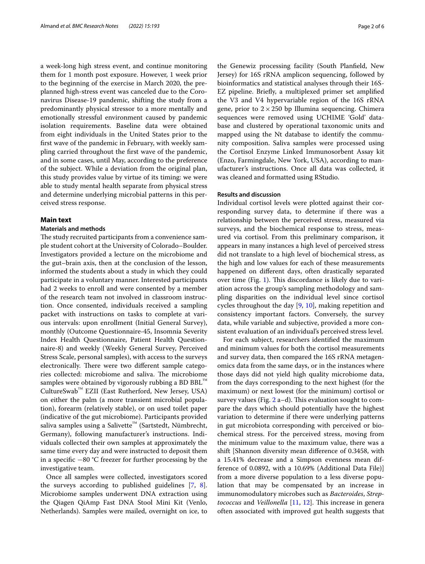a week-long high stress event, and continue monitoring them for 1 month post exposure. However, 1 week prior to the beginning of the exercise in March 2020, the preplanned high-stress event was canceled due to the Coronavirus Disease-19 pandemic, shifting the study from a predominantly physical stressor to a more mentally and emotionally stressful environment caused by pandemic isolation requirements. Baseline data were obtained from eight individuals in the United States prior to the frst wave of the pandemic in February, with weekly sampling carried throughout the frst wave of the pandemic, and in some cases, until May, according to the preference of the subject. While a deviation from the original plan, this study provides value by virtue of its timing: we were able to study mental health separate from physical stress and determine underlying microbial patterns in this perceived stress response.

## **Main text**

## **Materials and methods**

The study recruited participants from a convenience sample student cohort at the University of Colorado–Boulder. Investigators provided a lecture on the microbiome and the gut–brain axis, then at the conclusion of the lesson, informed the students about a study in which they could participate in a voluntary manner. Interested participants had 2 weeks to enroll and were consented by a member of the research team not involved in classroom instruction. Once consented, individuals received a sampling packet with instructions on tasks to complete at various intervals: upon enrollment (Initial General Survey), monthly (Outcome Questionnaire-45, Insomnia Severity Index Health Questionnaire, Patient Health Questionnaire-8) and weekly (Weekly General Survey, Perceived Stress Scale, personal samples), with access to the surveys electronically. There were two different sample categories collected: microbiome and saliva. The microbiome samples were obtained by vigorously rubbing a BD BBL™ CultureSwab™ EZII (East Rutherford, New Jersey, USA) on either the palm (a more transient microbial population), forearm (relatively stable), or on used toilet paper (indicative of the gut microbiome). Participants provided saliva samples using a Salivette<sup>™</sup> (Sartstedt, Nümbrecht, Germany), following manufacturer's instructions. Individuals collected their own samples at approximately the same time every day and were instructed to deposit them in a specifc −80 °C freezer for further processing by the investigative team.

Once all samples were collected, investigators scored the surveys according to published guidelines [\[7](#page-5-5), [8](#page-5-6)]. Microbiome samples underwent DNA extraction using the Qiagen QiAmp Fast DNA Stool Mini Kit (Venlo, Netherlands). Samples were mailed, overnight on ice, to the Genewiz processing facility (South Planfeld, New Jersey) for 16S rRNA amplicon sequencing, followed by bioinformatics and statistical analyses through their 16S-EZ pipeline. Briefy, a multiplexed primer set amplifed the V3 and V4 hypervariable region of the 16S rRNA gene, prior to  $2 \times 250$  bp Illumina sequencing. Chimera sequences were removed using UCHIME 'Gold' database and clustered by operational taxonomic units and mapped using the Nt database to identify the community composition. Saliva samples were processed using the Cortisol Enzyme Linked Immunosorbent Assay kit (Enzo, Farmingdale, New York, USA), according to manufacturer's instructions. Once all data was collected, it was cleaned and formatted using RStudio.

## **Results and discussion**

Individual cortisol levels were plotted against their corresponding survey data, to determine if there was a relationship between the perceived stress, measured via surveys, and the biochemical response to stress, measured via cortisol. From this preliminary comparison, it appears in many instances a high level of perceived stress did not translate to a high level of biochemical stress, as the high and low values for each of these measurements happened on diferent days, often drastically separated over time (Fig. [1\)](#page-2-0). This discordance is likely due to variation across the group's sampling methodology and sampling disparities on the individual level since cortisol cycles throughout the day  $[9, 10]$  $[9, 10]$  $[9, 10]$  $[9, 10]$ , making repetition and consistency important factors. Conversely, the survey data, while variable and subjective, provided a more consistent evaluation of an individual's perceived stress level.

For each subject, researchers identifed the maximum and minimum values for both the cortisol measurements and survey data, then compared the 16S rRNA metagenomics data from the same days, or in the instances where those days did not yield high quality microbiome data, from the days corresponding to the next highest (for the maximum) or next lowest (for the minimum) cortisol or survey values (Fig.  $2$  a–d). This evaluation sought to compare the days which should potentially have the highest variation to determine if there were underlying patterns in gut microbiota corresponding with perceived or biochemical stress. For the perceived stress, moving from the minimum value to the maximum value, there was a shift [Shannon diversity mean diference of 0.3458, with a 15.41% decrease and a Simpson evenness mean difference of 0.0892, with a 10.69% (Additional Data File)] from a more diverse population to a less diverse population that may be compensated by an increase in immunomodulatory microbes such as *Bacteroides*, *Streptococcus* and *Veillonella* [\[11](#page-5-9), [12](#page-5-10)]. This increase in genera often associated with improved gut health suggests that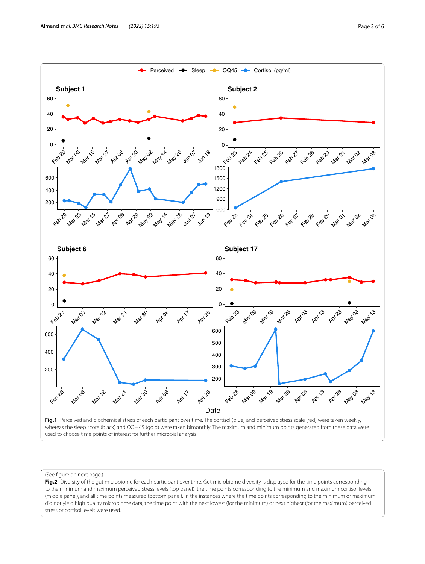

<span id="page-2-0"></span>Fig.1 Perceived and biochemical stress of each participant over time. The cortisol (blue) and perceived stress scale (red) were taken weekly, whereas the sleep score (black) and OQ−45 (gold) were taken bimonthly. The maximum and minimum points generated from these data were used to choose time points of interest for further microbial analysis

#### (See fgure on next page.)

<span id="page-2-1"></span>Fig.2 Diversity of the gut microbiome for each participant over time. Gut microbiome diversity is displayed for the time points corresponding to the minimum and maximum perceived stress levels (top panel), the time points corresponding to the minimum and maximum cortisol levels (middle panel), and all time points measured (bottom panel). In the instances where the time points corresponding to the minimum or maximum did not yield high quality microbiome data, the time point with the next lowest (for the minimum) or next highest (for the maximum) perceived stress or cortisol levels were used.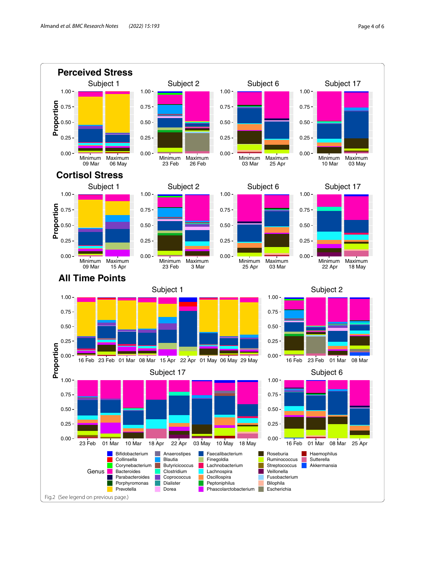

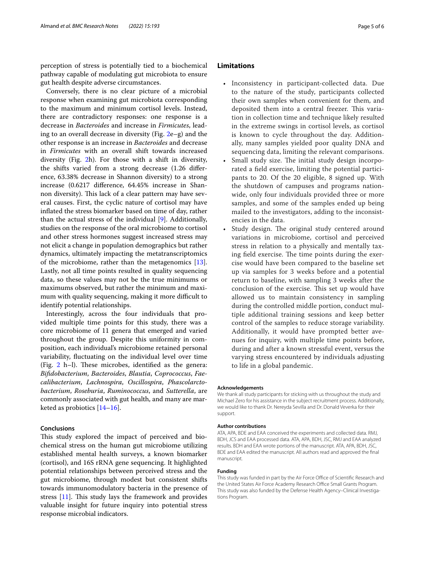perception of stress is potentially tied to a biochemical pathway capable of modulating gut microbiota to ensure gut health despite adverse circumstances.

Conversely, there is no clear picture of a microbial response when examining gut microbiota corresponding to the maximum and minimum cortisol levels. Instead, there are contradictory responses: one response is a decrease in *Bacteroides* and increase in *Firmicutes*, leading to an overall decrease in diversity (Fig. [2e](#page-2-1)–g) and the other response is an increase in *Bacteroides* and decrease in *Firmicutes* with an overall shift towards increased diversity (Fig. [2](#page-2-1)h). For those with a shift in diversity, the shifts varied from a strong decrease (1.26 diference, 63.38% decrease in Shannon diversity) to a strong increase (0.6217 diference, 64.45% increase in Shannon diversity). This lack of a clear pattern may have several causes. First, the cyclic nature of cortisol may have infated the stress biomarker based on time of day, rather than the actual stress of the individual [[9](#page-5-7)]. Additionally, studies on the response of the oral microbiome to cortisol and other stress hormones suggest increased stress may not elicit a change in population demographics but rather dynamics, ultimately impacting the metatranscriptomics of the microbiome, rather than the metagenomics  $[13]$  $[13]$ . Lastly, not all time points resulted in quality sequencing data, so these values may not be the true minimums or maximums observed, but rather the minimum and maximum with quality sequencing, making it more difficult to identify potential relationships.

Interestingly, across the four individuals that provided multiple time points for this study, there was a core microbiome of 11 genera that emerged and varied throughout the group. Despite this uniformity in composition, each individual's microbiome retained personal variability, fuctuating on the individual level over time (Fig.  $2$  h-l). These microbes, identified as the genera: *Bifdobacterium*, *Bacteroides*, *Blautia*, *Coprococcus*, *Faecalibacterium*, *Lachnospira*, *Oscillospira*, *Phascolarctobacterium*, *Roseburia*, *Ruminococcus*, and *Sutterella*, are commonly associated with gut health, and many are marketed as probiotics [[14–](#page-5-12)[16](#page-5-13)].

## **Conclusions**

This study explored the impact of perceived and biochemical stress on the human gut microbiome utilizing established mental health surveys, a known biomarker (cortisol), and 16S rRNA gene sequencing. It highlighted potential relationships between perceived stress and the gut microbiome, through modest but consistent shifts towards immunomodulatory bacteria in the presence of stress  $[11]$  $[11]$ . This study lays the framework and provides valuable insight for future inquiry into potential stress response microbial indicators.

## **Limitations**

- Inconsistency in participant-collected data. Due to the nature of the study, participants collected their own samples when convenient for them, and deposited them into a central freezer. This variation in collection time and technique likely resulted in the extreme swings in cortisol levels, as cortisol is known to cycle throughout the day. Additionally, many samples yielded poor quality DNA and sequencing data, limiting the relevant comparisons.
- Small study size. The initial study design incorporated a feld exercise, limiting the potential participants to 20. Of the 20 eligible, 8 signed up. With the shutdown of campuses and programs nationwide, only four individuals provided three or more samples, and some of the samples ended up being mailed to the investigators, adding to the inconsistencies in the data.
- Study design. The original study centered around variations in microbiome, cortisol and perceived stress in relation to a physically and mentally taxing field exercise. The time points during the exercise would have been compared to the baseline set up via samples for 3 weeks before and a potential return to baseline, with sampling 3 weeks after the conclusion of the exercise. This set up would have allowed us to maintain consistency in sampling during the controlled middle portion, conduct multiple additional training sessions and keep better control of the samples to reduce storage variability. Additionally, it would have prompted better avenues for inquiry, with multiple time points before, during and after a known stressful event, versus the varying stress encountered by individuals adjusting to life in a global pandemic.

#### **Acknowledgements**

We thank all study participants for sticking with us throughout the study and Michael Zero for his assistance in the subject recruitment process. Additionally, we would like to thank Dr. Nereyda Sevilla and Dr. Donald Veverka for their support.

#### **Author contributions**

ATA, APA, BDE and EAA conceived the experiments and collected data. RMJ, BDH, JCS and EAA processed data. ATA, APA, BDH, JSC, RMJ and EAA analyzed results. BDH and EAA wrote portions of the manuscript. ATA, APA, BDH, JSC, BDE and EAA edited the manuscript. All authors read and approved the fnal manuscript.

#### **Funding**

This study was funded in part by the Air Force Office of Scientific Research and the United States Air Force Academy Research Office Small Grants Program. This study was also funded by the Defense Health Agency–Clinical Investigations Program.